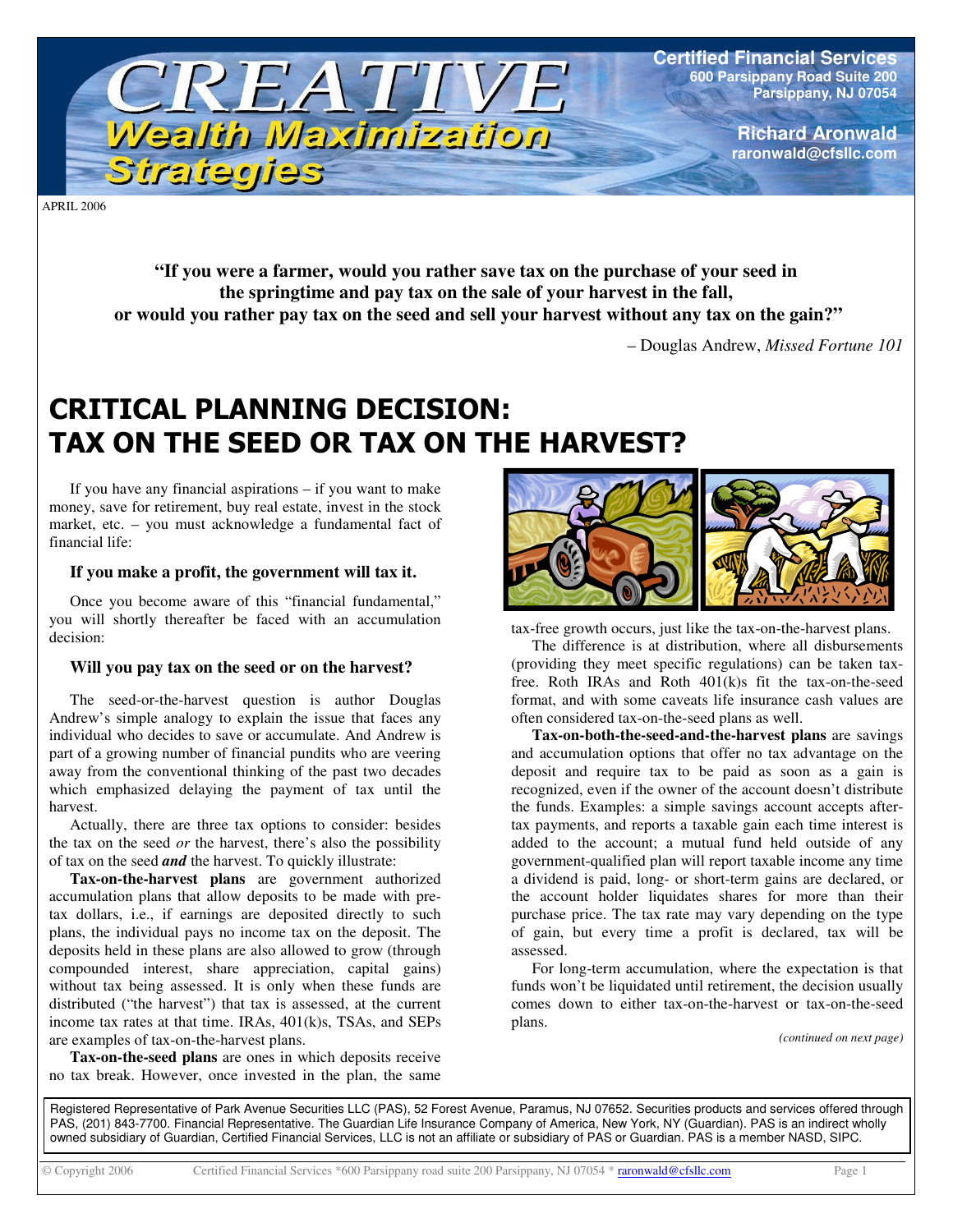

**Certified Financial Services 600 Parsippany Road Suite 200 Parsippany, NJ 07054**

> **Richard Aronwald raronwald@cfsllc.com**

APRIL 2006

**"If you were a farmer, would you rather save tax on the purchase of your seed in the springtime and pay tax on the sale of your harvest in the fall, or would you rather pay tax on the seed and sell your harvest without any tax on the gain?"**

– Douglas Andrew, *Missed Fortune 101*

## **CRITICAL PLANNING DECISION:** TAX ON THE SEED OR TAX ON THE HARVEST?

If you have any financial aspirations – if you want to make money, save for retirement, buy real estate, invest in the stock market, etc. – you must acknowledge a fundamental fact of financial life:

## **If you make a profit, the government will tax it.**

Once you become aware of this "financial fundamental," you will shortly thereafter be faced with an accumulation decision:

## **Will you pay tax on the seed or on the harvest?**

The seed-or-the-harvest question is author Douglas Andrew's simple analogy to explain the issue that faces any individual who decides to save or accumulate. And Andrew is part of a growing number of financial pundits who are veering away from the conventional thinking of the past two decades which emphasized delaying the payment of tax until the harvest.

Actually, there are three tax options to consider: besides the tax on the seed *or* the harvest, there's also the possibility of tax on the seed *and* the harvest. To quickly illustrate:

**Tax-on-the-harvest plans** are government authorized accumulation plans that allow deposits to be made with pretax dollars, i.e., if earnings are deposited directly to such plans, the individual pays no income tax on the deposit. The deposits held in these plans are also allowed to grow (through compounded interest, share appreciation, capital gains) without tax being assessed. It is only when these funds are distributed ("the harvest") that tax is assessed, at the current income tax rates at that time. IRAs, 401(k)s, TSAs, and SEPs are examples of tax-on-the-harvest plans.

**Tax-on-the-seed plans** are ones in which deposits receive no tax break. However, once invested in the plan, the same



tax-free growth occurs, just like the tax-on-the-harvest plans.

The difference is at distribution, where all disbursements (providing they meet specific regulations) can be taken taxfree. Roth IRAs and Roth 401(k)s fit the tax-on-the-seed format, and with some caveats life insurance cash values are often considered tax-on-the-seed plans as well.

**Tax-on-both-the-seed-and-the-harvest plans** are savings and accumulation options that offer no tax advantage on the deposit and require tax to be paid as soon as a gain is recognized, even if the owner of the account doesn't distribute the funds. Examples: a simple savings account accepts aftertax payments, and reports a taxable gain each time interest is added to the account; a mutual fund held outside of any government-qualified plan will report taxable income any time a dividend is paid, long- or short-term gains are declared, or the account holder liquidates shares for more than their purchase price. The tax rate may vary depending on the type of gain, but every time a profit is declared, tax will be assessed.

For long-term accumulation, where the expectation is that funds won't be liquidated until retirement, the decision usually comes down to either tax-on-the-harvest or tax-on-the-seed plans.

*(continued on next page)*

Registered Representative of Park Avenue Securities LLC (PAS), 52 Forest Avenue, Paramus, NJ 07652. Securities products and services offered through PAS, (201) 843-7700. Financial Representative. The Guardian Life Insurance Company of America, New York, NY (Guardian). PAS is an indirect wholly owned subsidiary of Guardian, Certified Financial Services, LLC is not an affiliate or subsidiary of PAS or Guardian. PAS is a member NASD, SIPC.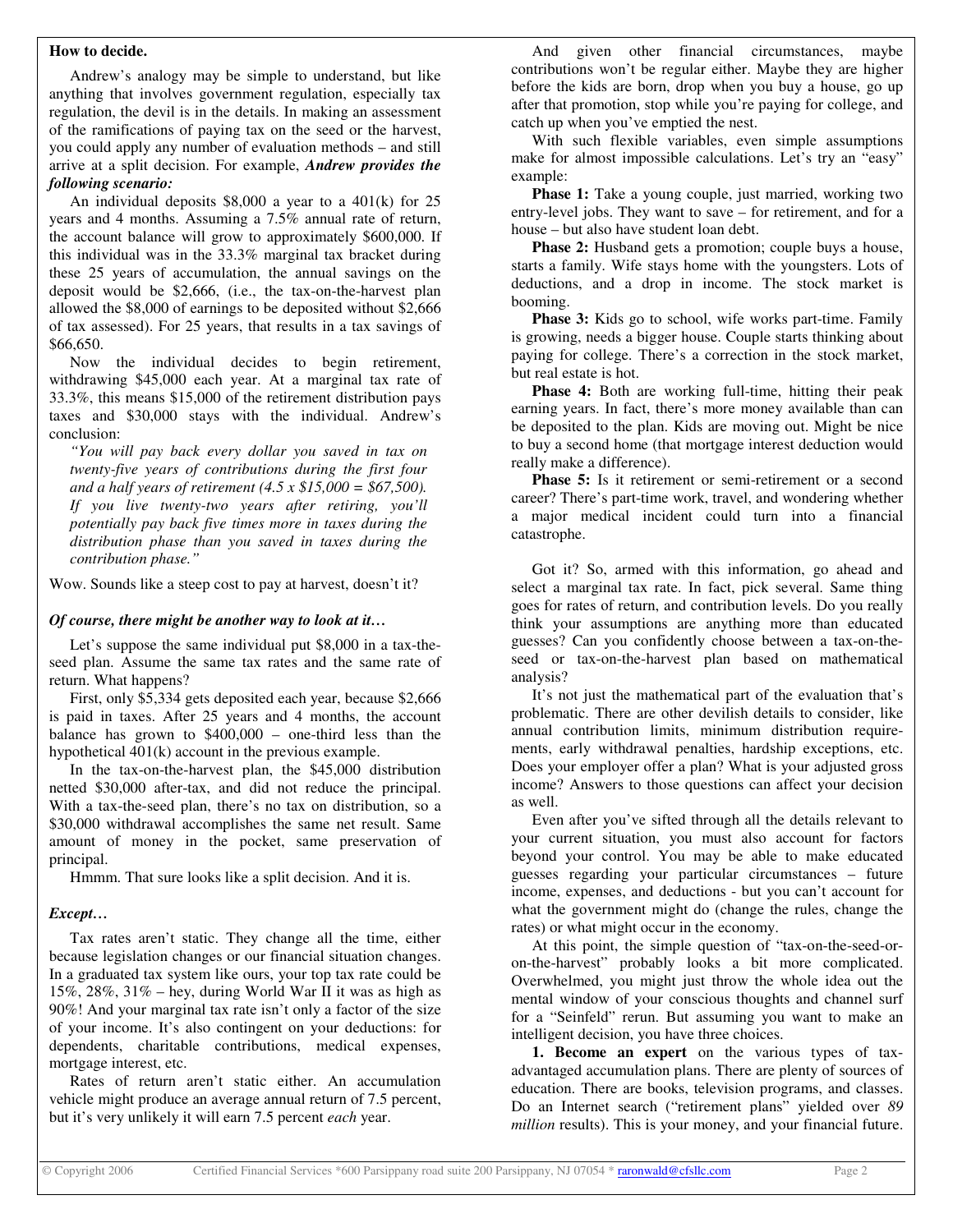### **How to decide.**

Andrew's analogy may be simple to understand, but like anything that involves government regulation, especially tax regulation, the devil is in the details. In making an assessment of the ramifications of paying tax on the seed or the harvest, you could apply any number of evaluation methods – and still arrive at a split decision. For example, *Andrew provides the following scenario:*

An individual deposits \$8,000 a year to a 401(k) for 25 years and 4 months. Assuming a 7.5% annual rate of return, the account balance will grow to approximately \$600,000. If this individual was in the 33.3% marginal tax bracket during these 25 years of accumulation, the annual savings on the deposit would be \$2,666, (i.e., the tax-on-the-harvest plan allowed the \$8,000 of earnings to be deposited without \$2,666 of tax assessed). For 25 years, that results in a tax savings of \$66,650.

Now the individual decides to begin retirement, withdrawing \$45,000 each year. At a marginal tax rate of 33.3%, this means \$15,000 of the retirement distribution pays taxes and \$30,000 stays with the individual. Andrew's conclusion:

*"You will pay back every dollar you saved in tax on twenty-five years of contributions during the first four and a half years of retirement (4.5 x \$15,000 = \$67,500). If you live twenty-two years after retiring, you'll potentially pay back five times more in taxes during the distribution phase than you saved in taxes during the contribution phase."*

Wow. Sounds like a steep cost to pay at harvest, doesn't it?

## *Of course, there might be another way to look at it…*

Let's suppose the same individual put \$8,000 in a tax-theseed plan. Assume the same tax rates and the same rate of return. What happens?

First, only \$5,334 gets deposited each year, because \$2,666 is paid in taxes. After 25 years and 4 months, the account balance has grown to \$400,000 – one-third less than the hypothetical 401(k) account in the previous example.

In the tax-on-the-harvest plan, the \$45,000 distribution netted \$30,000 after-tax, and did not reduce the principal. With a tax-the-seed plan, there's no tax on distribution, so a \$30,000 withdrawal accomplishes the same net result. Same amount of money in the pocket, same preservation of principal.

Hmmm. That sure looks like a split decision. And it is.

## *Except…*

Tax rates aren't static. They change all the time, either because legislation changes or our financial situation changes. In a graduated tax system like ours, your top tax rate could be 15%, 28%, 31% – hey, during World War II it was as high as 90%! And your marginal tax rate isn't only a factor of the size of your income. It's also contingent on your deductions: for dependents, charitable contributions, medical expenses, mortgage interest, etc.

Rates of return aren't static either. An accumulation vehicle might produce an average annual return of 7.5 percent, but it's very unlikely it will earn 7.5 percent *each* year.

And given other financial circumstances, maybe contributions won't be regular either. Maybe they are higher before the kids are born, drop when you buy a house, go up after that promotion, stop while you're paying for college, and catch up when you've emptied the nest.

With such flexible variables, even simple assumptions make for almost impossible calculations. Let's try an "easy" example:

**Phase 1:** Take a young couple, just married, working two entry-level jobs. They want to save – for retirement, and for a house – but also have student loan debt.

**Phase 2:** Husband gets a promotion; couple buys a house, starts a family. Wife stays home with the youngsters. Lots of deductions, and a drop in income. The stock market is booming.

**Phase 3:** Kids go to school, wife works part-time. Family is growing, needs a bigger house. Couple starts thinking about paying for college. There's a correction in the stock market, but real estate is hot.

**Phase 4:** Both are working full-time, hitting their peak earning years. In fact, there's more money available than can be deposited to the plan. Kids are moving out. Might be nice to buy a second home (that mortgage interest deduction would really make a difference).

**Phase 5:** Is it retirement or semi-retirement or a second career? There's part-time work, travel, and wondering whether a major medical incident could turn into a financial catastrophe.

Got it? So, armed with this information, go ahead and select a marginal tax rate. In fact, pick several. Same thing goes for rates of return, and contribution levels. Do you really think your assumptions are anything more than educated guesses? Can you confidently choose between a tax-on-theseed or tax-on-the-harvest plan based on mathematical analysis?

It's not just the mathematical part of the evaluation that's problematic. There are other devilish details to consider, like annual contribution limits, minimum distribution requirements, early withdrawal penalties, hardship exceptions, etc. Does your employer offer a plan? What is your adjusted gross income? Answers to those questions can affect your decision as well.

Even after you've sifted through all the details relevant to your current situation, you must also account for factors beyond your control. You may be able to make educated guesses regarding your particular circumstances – future income, expenses, and deductions - but you can't account for what the government might do (change the rules, change the rates) or what might occur in the economy.

At this point, the simple question of "tax-on-the-seed-oron-the-harvest" probably looks a bit more complicated. Overwhelmed, you might just throw the whole idea out the mental window of your conscious thoughts and channel surf for a "Seinfeld" rerun. But assuming you want to make an intelligent decision, you have three choices.

**1. Become an expert** on the various types of taxadvantaged accumulation plans. There are plenty of sources of education. There are books, television programs, and classes. Do an Internet search ("retirement plans" yielded over *89 million* results). This is your money, and your financial future.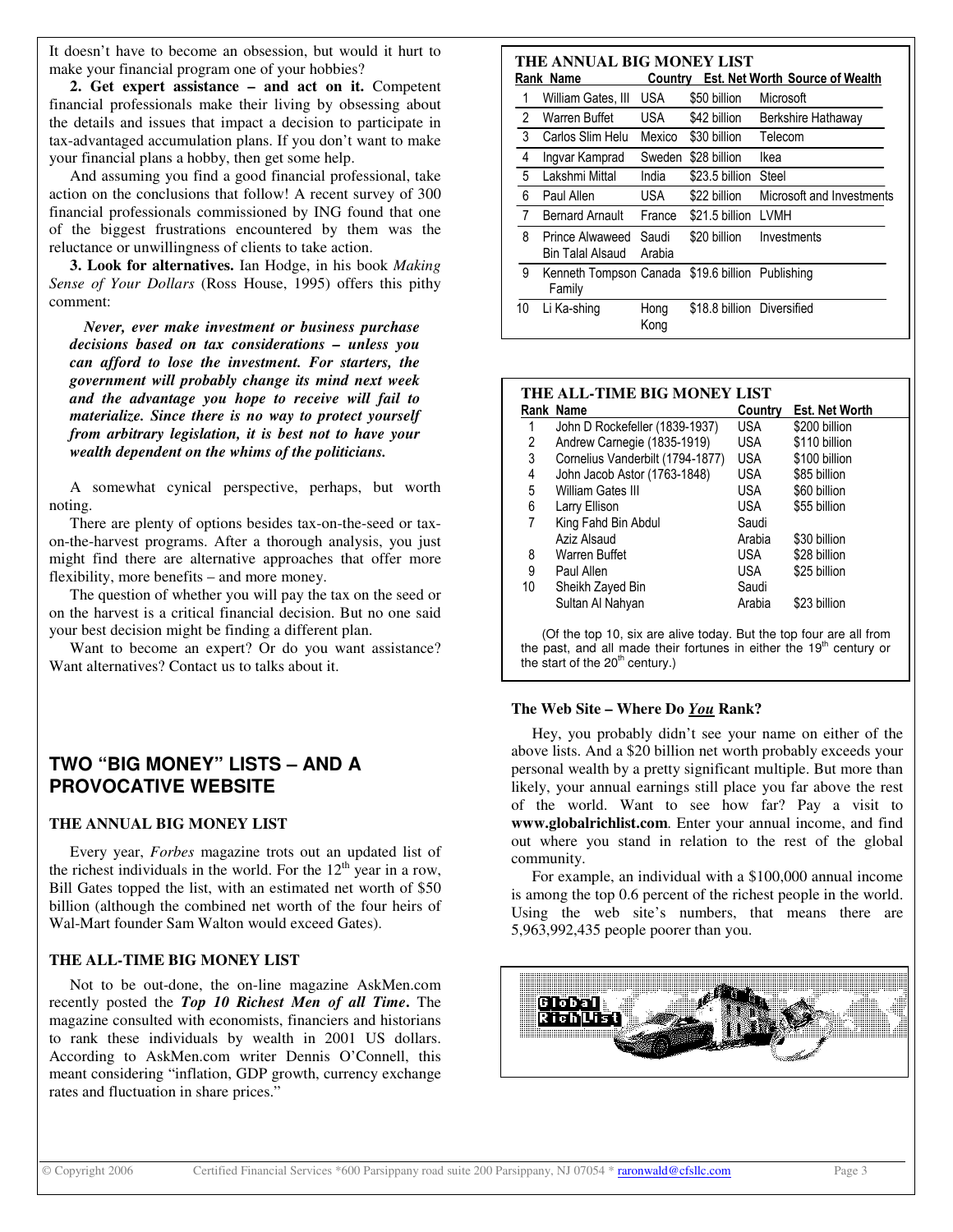It doesn't have to become an obsession, but would it hurt to make your financial program one of your hobbies?

**2. Get expert assistance – and act on it.** Competent financial professionals make their living by obsessing about the details and issues that impact a decision to participate in tax-advantaged accumulation plans. If you don't want to make your financial plans a hobby, then get some help.

And assuming you find a good financial professional, take action on the conclusions that follow! A recent survey of 300 financial professionals commissioned by ING found that one of the biggest frustrations encountered by them was the reluctance or unwillingness of clients to take action.

**3. Look for alternatives.** Ian Hodge, in his book *Making Sense of Your Dollars* (Ross House, 1995) offers this pithy comment:

*Never, ever make investment or business purchase decisions based on tax considerations – unless you can afford to lose the investment. For starters, the government will probably change its mind next week and the advantage you hope to receive will fail to materialize. Since there is no way to protect yourself from arbitrary legislation, it is best not to have your wealth dependent on the whims of the politicians.*

A somewhat cynical perspective, perhaps, but worth noting.

There are plenty of options besides tax-on-the-seed or taxon-the-harvest programs. After a thorough analysis, you just might find there are alternative approaches that offer more flexibility, more benefits – and more money.

The question of whether you will pay the tax on the seed or on the harvest is a critical financial decision. But no one said your best decision might be finding a different plan.

Want to become an expert? Or do you want assistance? Want alternatives? Contact us to talks about it.

## **TWO "BIG MONEY" LISTS – AND A PROVOCATIVE WEBSITE**

### **THE ANNUAL BIG MONEY LIST**

Every year, *Forbes* magazine trots out an updated list of the richest individuals in the world. For the  $12<sup>th</sup>$  year in a row, Bill Gates topped the list, with an estimated net worth of \$50 billion (although the combined net worth of the four heirs of Wal-Mart founder Sam Walton would exceed Gates).

### **THE ALL-TIME BIG MONEY LIST**

Not to be out-done, the on-line magazine AskMen.com recently posted the *Top 10 Richest Men of all Time***.** The magazine consulted with economists, financiers and historians to rank these individuals by wealth in 2001 US dollars. According to AskMen.com writer Dennis O'Connell, this meant considering "inflation, GDP growth, currency exchange rates and fluctuation in share prices."

| THE ANNUAL BIG MONEY LIST |    |                                     |                 |                            |                                        |  |  |  |
|---------------------------|----|-------------------------------------|-----------------|----------------------------|----------------------------------------|--|--|--|
|                           |    | Rank Name                           | Country         |                            | <b>Est. Net Worth Source of Wealth</b> |  |  |  |
|                           | 1  | William Gates, III                  | <b>USA</b>      | \$50 billion               | Microsoft                              |  |  |  |
|                           | 2  | Warren Buffet                       | USA             | \$42 billion               | Berkshire Hathaway                     |  |  |  |
|                           | 3  | Carlos Slim Helu                    | Mexico          | \$30 billion               | Telecom                                |  |  |  |
|                           | 4  | Ingvar Kamprad                      | Sweden          | \$28 billion               | Ikea                                   |  |  |  |
|                           | 5  | Lakshmi Mittal                      | India           | \$23.5 billion             | Steel                                  |  |  |  |
|                           | 6  | Paul Allen                          | USA             | \$22 billion               | Microsoft and Investments              |  |  |  |
|                           | 7  | <b>Bernard Arnault</b>              | France          | \$21.5 billion LVMH        |                                        |  |  |  |
|                           | 8  | Prince Alwaweed<br>Bin Talal Alsaud | Saudi<br>Arabia | \$20 billion               | Investments                            |  |  |  |
|                           | 9  | Kenneth Tompson Canada<br>Family    |                 | \$19.6 billion Publishing  |                                        |  |  |  |
|                           | 10 | Li Ka-shing                         | Hong<br>Kong    | \$18.8 billion Diversified |                                        |  |  |  |

| THE ALL-TIME BIG MONEY LIST |                                  |            |                       |  |  |  |  |  |
|-----------------------------|----------------------------------|------------|-----------------------|--|--|--|--|--|
|                             | Rank Name                        | Country    | <b>Est. Net Worth</b> |  |  |  |  |  |
|                             | John D Rockefeller (1839-1937)   | <b>USA</b> | \$200 billion         |  |  |  |  |  |
| 2                           | Andrew Carnegie (1835-1919)      | <b>USA</b> | \$110 billion         |  |  |  |  |  |
| 3                           | Cornelius Vanderbilt (1794-1877) | <b>USA</b> | \$100 billion         |  |  |  |  |  |
| 4                           | John Jacob Astor (1763-1848)     | <b>USA</b> | \$85 billion          |  |  |  |  |  |
| 5                           | William Gates III                | <b>USA</b> | \$60 billion          |  |  |  |  |  |
| 6                           | Larry Ellison                    | USA        | \$55 billion          |  |  |  |  |  |
| 7                           | King Fahd Bin Abdul              | Saudi      |                       |  |  |  |  |  |
|                             | Aziz Alsaud                      | Arabia     | \$30 billion          |  |  |  |  |  |
| 8                           | Warren Buffet                    | USA.       | \$28 billion          |  |  |  |  |  |
| 9                           | Paul Allen                       | USA        | \$25 billion          |  |  |  |  |  |
| 10                          | Sheikh Zayed Bin                 | Saudi      |                       |  |  |  |  |  |
|                             | Sultan Al Nahyan                 | Arabia     | \$23 billion          |  |  |  |  |  |

(Of the top 10, six are alive today. But the top four are all from the past, and all made their fortunes in either the 19<sup>th</sup> century or the start of the  $20<sup>th</sup>$  century.)

#### **The Web Site – Where Do** *You* **Rank?**

Hey, you probably didn't see your name on either of the above lists. And a \$20 billion net worth probably exceeds your personal wealth by a pretty significant multiple. But more than likely, your annual earnings still place you far above the rest of the world. Want to see how far? Pay a visit to **www.globalrichlist.com**. Enter your annual income, and find out where you stand in relation to the rest of the global community.

For example, an individual with a \$100,000 annual income is among the top 0.6 percent of the richest people in the world. Using the web site's numbers, that means there are 5,963,992,435 people poorer than you.

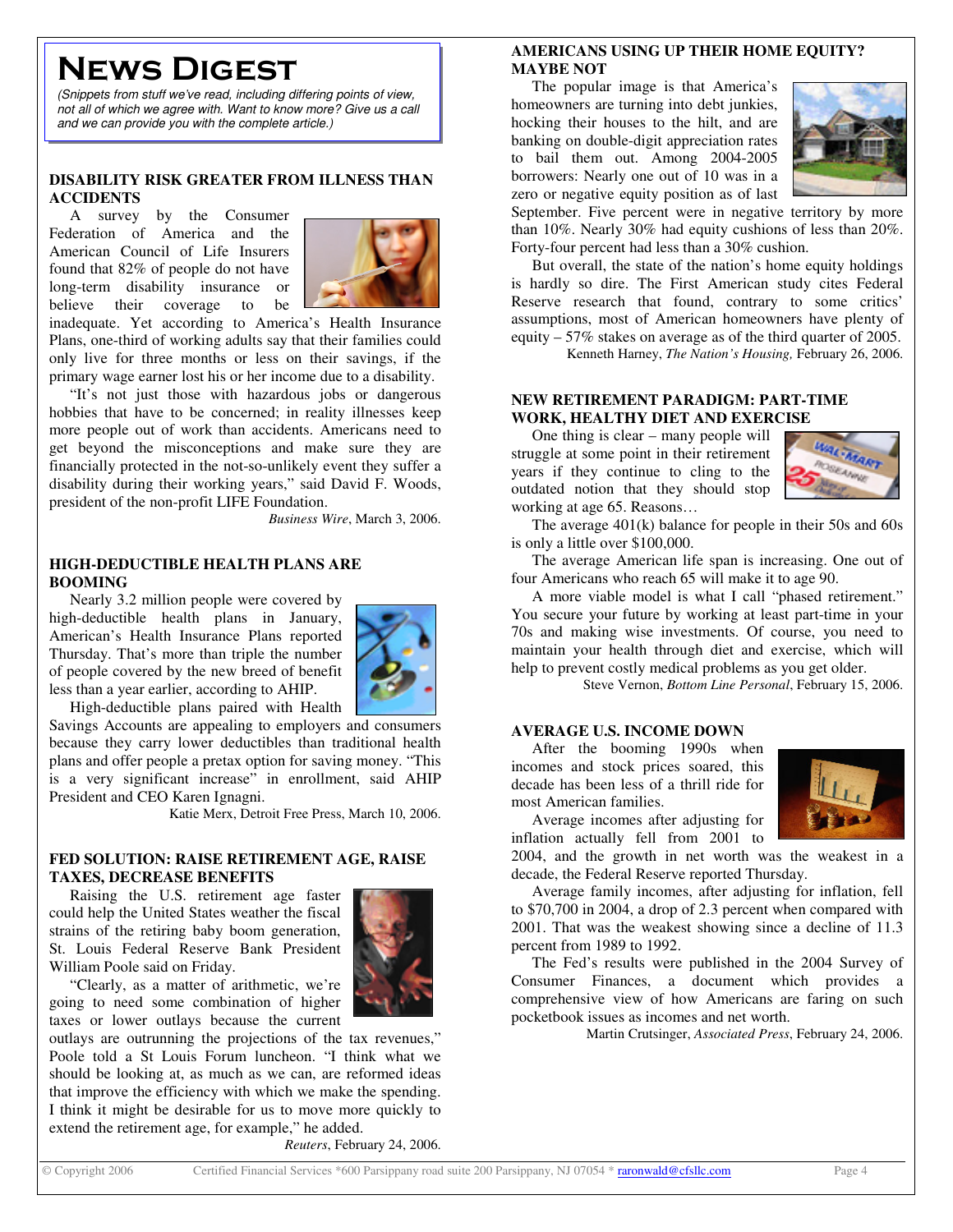# **NEWS DIGEST**

*(Snippets from stuff we've read, including differing points of view, not all of which we agree with. Want to know more? Give us a call and we can provide you with the complete article.)*

### **DISABILITY RISK GREATER FROM ILLNESS THAN ACCIDENTS**

A survey by the Consumer Federation of America and the American Council of Life Insurers found that 82% of people do not have long-term disability insurance or believe their coverage to be



inadequate. Yet according to America's Health Insurance Plans, one-third of working adults say that their families could only live for three months or less on their savings, if the primary wage earner lost his or her income due to a disability.

"It's not just those with hazardous jobs or dangerous hobbies that have to be concerned; in reality illnesses keep more people out of work than accidents. Americans need to get beyond the misconceptions and make sure they are financially protected in the not-so-unlikely event they suffer a disability during their working years," said David F. Woods, president of the non-profit LIFE Foundation.

*Business Wire*, March 3, 2006.

## **HIGH-DEDUCTIBLE HEALTH PLANS ARE BOOMING**

Nearly 3.2 million people were covered by high-deductible health plans in January, American's Health Insurance Plans reported Thursday. That's more than triple the number of people covered by the new breed of benefit less than a year earlier, according to AHIP.



High-deductible plans paired with Health

Savings Accounts are appealing to employers and consumers because they carry lower deductibles than traditional health plans and offer people a pretax option for saving money. "This is a very significant increase" in enrollment, said AHIP President and CEO Karen Ignagni.

Katie Merx, Detroit Free Press, March 10, 2006.

## **FED SOLUTION: RAISE RETIREMENT AGE, RAISE TAXES, DECREASE BENEFITS**

Raising the U.S. retirement age faster could help the United States weather the fiscal strains of the retiring baby boom generation, St. Louis Federal Reserve Bank President William Poole said on Friday.

"Clearly, as a matter of arithmetic, we're going to need some combination of higher taxes or lower outlays because the current

outlays are outrunning the projections of the tax revenues," Poole told a St Louis Forum luncheon. "I think what we should be looking at, as much as we can, are reformed ideas that improve the efficiency with which we make the spending. I think it might be desirable for us to move more quickly to extend the retirement age, for example," he added.

*Reuters*, February 24, 2006.

## **AMERICANS USING UP THEIR HOME EQUITY? MAYBE NOT**

The popular image is that America's homeowners are turning into debt junkies, hocking their houses to the hilt, and are banking on double-digit appreciation rates to bail them out. Among 2004-2005 borrowers: Nearly one out of 10 was in a zero or negative equity position as of last



September. Five percent were in negative territory by more than 10%. Nearly 30% had equity cushions of less than 20%. Forty-four percent had less than a 30% cushion.

But overall, the state of the nation's home equity holdings is hardly so dire. The First American study cites Federal Reserve research that found, contrary to some critics' assumptions, most of American homeowners have plenty of equity – 57% stakes on average as of the third quarter of 2005. Kenneth Harney, *The Nation's Housing,* February 26, 2006.

**NEW RETIREMENT PARADIGM: PART-TIME WORK, HEALTHY DIET AND EXERCISE**

One thing is clear – many people will struggle at some point in their retirement years if they continue to cling to the outdated notion that they should stop working at age 65. Reasons…



The average 401(k) balance for people in their 50s and 60s is only a little over \$100,000.

The average American life span is increasing. One out of four Americans who reach 65 will make it to age 90.

A more viable model is what I call "phased retirement." You secure your future by working at least part-time in your 70s and making wise investments. Of course, you need to maintain your health through diet and exercise, which will help to prevent costly medical problems as you get older.

Steve Vernon, *Bottom Line Personal*, February 15, 2006.

### **AVERAGE U.S. INCOME DOWN**

After the booming 1990s when incomes and stock prices soared, this decade has been less of a thrill ride for most American families.



Average incomes after adjusting for inflation actually fell from 2001 to

2004, and the growth in net worth was the weakest in a decade, the Federal Reserve reported Thursday.

Average family incomes, after adjusting for inflation, fell to \$70,700 in 2004, a drop of 2.3 percent when compared with 2001. That was the weakest showing since a decline of 11.3 percent from 1989 to 1992.

The Fed's results were published in the 2004 Survey of Consumer Finances, a document which provides a comprehensive view of how Americans are faring on such pocketbook issues as incomes and net worth.

Martin Crutsinger, *Associated Press*, February 24, 2006.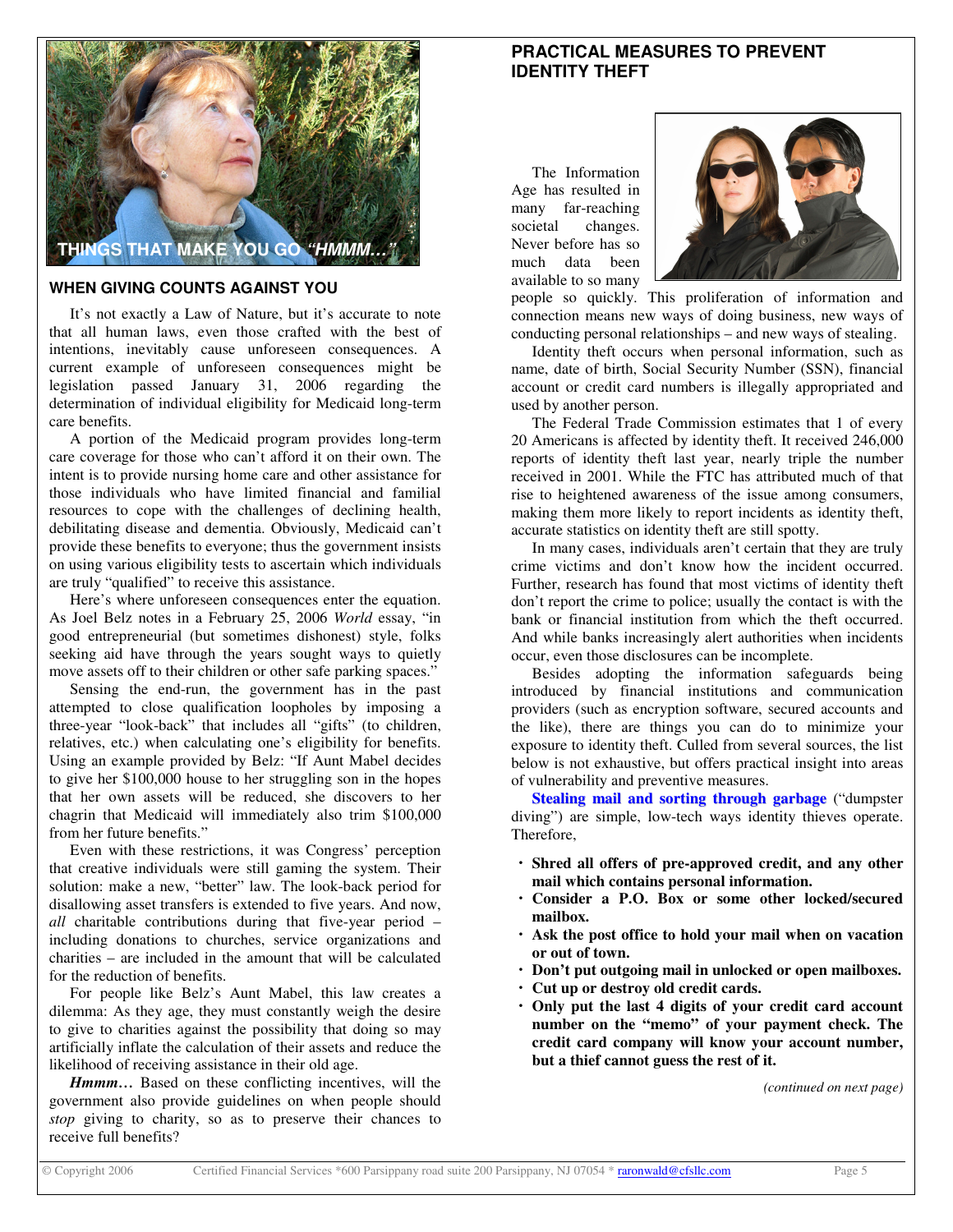

### **WHEN GIVING COUNTS AGAINST YOU**

It's not exactly a Law of Nature, but it's accurate to note that all human laws, even those crafted with the best of intentions, inevitably cause unforeseen consequences. A current example of unforeseen consequences might be legislation passed January 31, 2006 regarding the determination of individual eligibility for Medicaid long-term care benefits.

A portion of the Medicaid program provides long-term care coverage for those who can't afford it on their own. The intent is to provide nursing home care and other assistance for those individuals who have limited financial and familial resources to cope with the challenges of declining health, debilitating disease and dementia. Obviously, Medicaid can't provide these benefits to everyone; thus the government insists on using various eligibility tests to ascertain which individuals are truly "qualified" to receive this assistance.

Here's where unforeseen consequences enter the equation. As Joel Belz notes in a February 25, 2006 *World* essay, "in good entrepreneurial (but sometimes dishonest) style, folks seeking aid have through the years sought ways to quietly move assets off to their children or other safe parking spaces."

Sensing the end-run, the government has in the past attempted to close qualification loopholes by imposing a three-year "look-back" that includes all "gifts" (to children, relatives, etc.) when calculating one's eligibility for benefits. Using an example provided by Belz: "If Aunt Mabel decides to give her \$100,000 house to her struggling son in the hopes that her own assets will be reduced, she discovers to her chagrin that Medicaid will immediately also trim \$100,000 from her future benefits."

Even with these restrictions, it was Congress' perception that creative individuals were still gaming the system. Their solution: make a new, "better" law. The look-back period for disallowing asset transfers is extended to five years. And now, *all* charitable contributions during that five-year period – including donations to churches, service organizations and charities – are included in the amount that will be calculated for the reduction of benefits.

For people like Belz's Aunt Mabel, this law creates a dilemma: As they age, they must constantly weigh the desire to give to charities against the possibility that doing so may artificially inflate the calculation of their assets and reduce the likelihood of receiving assistance in their old age.

*Hmmm…* Based on these conflicting incentives, will the government also provide guidelines on when people should *stop* giving to charity, so as to preserve their chances to receive full benefits?

## **PRACTICAL MEASURES TO PREVENT IDENTITY THEFT**

The Information Age has resulted in many far-reaching societal changes. Never before has so much data been available to so many



people so quickly. This proliferation of information and connection means new ways of doing business, new ways of conducting personal relationships – and new ways of stealing.

Identity theft occurs when personal information, such as name, date of birth, Social Security Number (SSN), financial account or credit card numbers is illegally appropriated and used by another person.

The Federal Trade Commission estimates that 1 of every 20 Americans is affected by identity theft. It received 246,000 reports of identity theft last year, nearly triple the number received in 2001. While the FTC has attributed much of that rise to heightened awareness of the issue among consumers, making them more likely to report incidents as identity theft, accurate statistics on identity theft are still spotty.

In many cases, individuals aren't certain that they are truly crime victims and don't know how the incident occurred. Further, research has found that most victims of identity theft don't report the crime to police; usually the contact is with the bank or financial institution from which the theft occurred. And while banks increasingly alert authorities when incidents occur, even those disclosures can be incomplete.

Besides adopting the information safeguards being introduced by financial institutions and communication providers (such as encryption software, secured accounts and the like), there are things you can do to minimize your exposure to identity theft. Culled from several sources, the list below is not exhaustive, but offers practical insight into areas of vulnerability and preventive measures.

**Stealing mail and sorting through garbage** ("dumpster diving") are simple, low-tech ways identity thieves operate. Therefore,

- **Shred all offers of pre-approved credit, and any other mail which contains personal information.**
- **Consider a P.O. Box or some other locked/secured mailbox.**
- **Ask the post office to hold your mail when on vacation or out of town.**
- **Don't put outgoing mail in unlocked or open mailboxes.**
- **Cut up or destroy old credit cards.**
- **Only put the last 4 digits of your credit card account number on the "memo" of your payment check. The credit card company will know your account number, but a thief cannot guess the rest of it.**

*(continued on next page)*